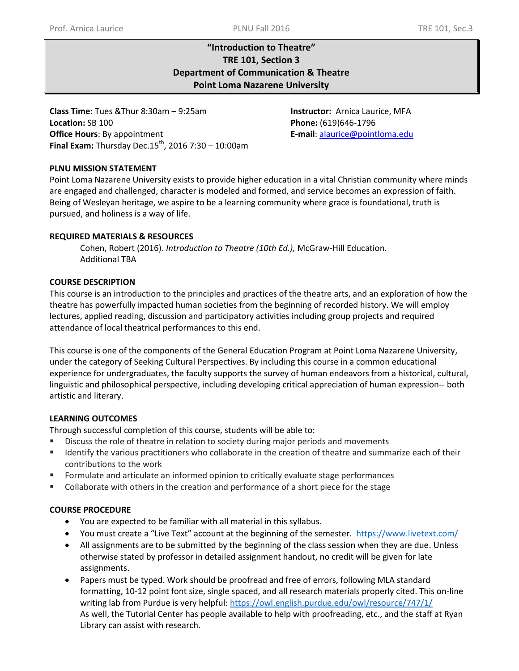# **"Introduction to Theatre" TRE 101, Section 3 Department of Communication & Theatre Point Loma Nazarene University**

**Class Time:** Tues &Thur 8:30am – 9:25am **Instructor:** Arnica Laurice, MFA **Location:** SB 100 **Phone:** (619)646-1796 **Office Hours**: By appointment **Final Exam:** Thursday Dec.15<sup>th</sup>, 2016 7:30 – 10:00am

**E-mail**: [alaurice@pointloma.edu](mailto:alaurice@pointloma.edu)

## **PLNU MISSION STATEMENT**

Point Loma Nazarene University exists to provide higher education in a vital Christian community where minds are engaged and challenged, character is modeled and formed, and service becomes an expression of faith. Being of Wesleyan heritage, we aspire to be a learning community where grace is foundational, truth is pursued, and holiness is a way of life.

## **REQUIRED MATERIALS & RESOURCES**

Cohen, Robert (2016). *Introduction to Theatre (10th Ed.),* McGraw-Hill Education. Additional TBA

## **COURSE DESCRIPTION**

This course is an introduction to the principles and practices of the theatre arts, and an exploration of how the theatre has powerfully impacted human societies from the beginning of recorded history. We will employ lectures, applied reading, discussion and participatory activities including group projects and required attendance of local theatrical performances to this end.

This course is one of the components of the General Education Program at Point Loma Nazarene University, under the category of Seeking Cultural Perspectives. By including this course in a common educational experience for undergraduates, the faculty supports the survey of human endeavors from a historical, cultural, linguistic and philosophical perspective, including developing critical appreciation of human expression-- both artistic and literary.

## **LEARNING OUTCOMES**

Through successful completion of this course, students will be able to:

- Discuss the role of theatre in relation to society during major periods and movements
- Identify the various practitioners who collaborate in the creation of theatre and summarize each of their contributions to the work
- **FIOR 10** Formulate and articulate an informed opinion to critically evaluate stage performances
- Collaborate with others in the creation and performance of a short piece for the stage

## **COURSE PROCEDURE**

- You are expected to be familiar with all material in this syllabus.
- You must create a "Live Text" account at the beginning of the semester. <https://www.livetext.com/>
- All assignments are to be submitted by the beginning of the class session when they are due. Unless otherwise stated by professor in detailed assignment handout, no credit will be given for late assignments.
- Papers must be typed. Work should be proofread and free of errors, following MLA standard formatting, 10-12 point font size, single spaced, and all research materials properly cited. This on-line writing lab from Purdue is very helpful: <https://owl.english.purdue.edu/owl/resource/747/1/> As well, the Tutorial Center has people available to help with proofreading, etc., and the staff at Ryan Library can assist with research.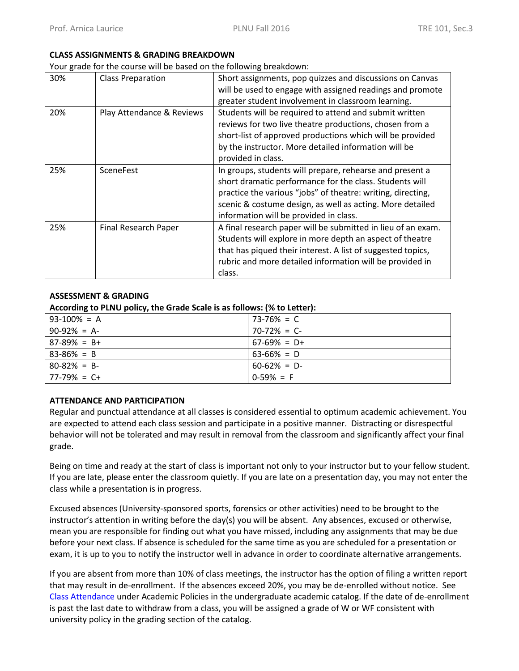### **CLASS ASSIGNMENTS & GRADING BREAKDOWN**

Your grade for the course will be based on the following breakdown:

| 30% | <b>Class Preparation</b>  | Short assignments, pop quizzes and discussions on Canvas     |
|-----|---------------------------|--------------------------------------------------------------|
|     |                           | will be used to engage with assigned readings and promote    |
|     |                           | greater student involvement in classroom learning.           |
| 20% | Play Attendance & Reviews | Students will be required to attend and submit written       |
|     |                           | reviews for two live theatre productions, chosen from a      |
|     |                           | short-list of approved productions which will be provided    |
|     |                           | by the instructor. More detailed information will be         |
|     |                           | provided in class.                                           |
| 25% | <b>SceneFest</b>          | In groups, students will prepare, rehearse and present a     |
|     |                           | short dramatic performance for the class. Students will      |
|     |                           | practice the various "jobs" of theatre: writing, directing,  |
|     |                           | scenic & costume design, as well as acting. More detailed    |
|     |                           | information will be provided in class.                       |
| 25% | Final Research Paper      | A final research paper will be submitted in lieu of an exam. |
|     |                           | Students will explore in more depth an aspect of theatre     |
|     |                           | that has piqued their interest. A list of suggested topics,  |
|     |                           | rubric and more detailed information will be provided in     |
|     |                           | class.                                                       |

## **ASSESSMENT & GRADING**

### **According to PLNU policy, the Grade Scale is as follows: (% to Letter):**

| $93-100\% = A$    | $73-76\% = C$   |
|-------------------|-----------------|
| $90-92\% = A$     | $70-72\% = C$   |
| $87-89\% = B+$    | $67-69\% = D+$  |
| $83 - 86\% = B$   | $63 - 66\% = D$ |
| $80 - 82\% = B$   | $60-62\% = D$   |
| $77 - 79\% = C +$ | $0-59\% = F$    |

### **ATTENDANCE AND PARTICIPATION**

Regular and punctual attendance at all classes is considered essential to optimum academic achievement. You are expected to attend each class session and participate in a positive manner. Distracting or disrespectful behavior will not be tolerated and may result in removal from the classroom and significantly affect your final grade.

Being on time and ready at the start of class is important not only to your instructor but to your fellow student. If you are late, please enter the classroom quietly. If you are late on a presentation day, you may not enter the class while a presentation is in progress.

Excused absences (University-sponsored sports, forensics or other activities) need to be brought to the instructor's attention in writing before the day(s) you will be absent. Any absences, excused or otherwise, mean you are responsible for finding out what you have missed, including any assignments that may be due before your next class. If absence is scheduled for the same time as you are scheduled for a presentation or exam, it is up to you to notify the instructor well in advance in order to coordinate alternative arrangements.

If you are absent from more than 10% of class meetings, the instructor has the option of filing a written report that may result in de-enrollment. If the absences exceed 20%, you may be de-enrolled without notice. See [Class Attendance](http://catalog.pointloma.edu/content.php?catoid=18&navoid=1278) under Academic Policies in the undergraduate academic catalog. If the date of de-enrollment is past the last date to withdraw from a class, you will be assigned a grade of W or WF consistent with university policy in the grading section of the catalog.